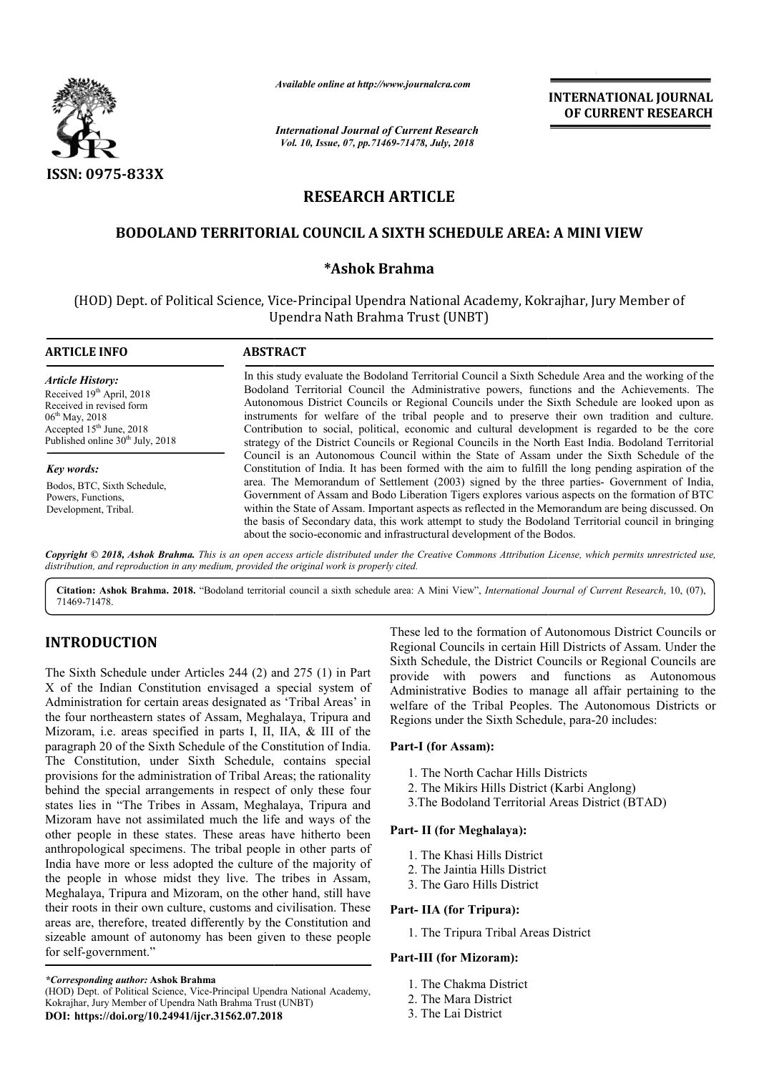

*Available online at http://www.journalcra.com*

# **RESEARCH ARTICLE**

## **BODOLAND TERRITORIAL COUNCIL A SIXTH SCHEDULE AREA: A MINI VIEW SIXTH SCHEDULE VIEW**

## **\*Ashok Brahma**

|                                                                                                                                                                                                                                                                                                                                                                                                                                                                                                                                        |                                                                                                                                                                                                                                                                                                                                                                                                                                                                                                                                                                                                                                                                                                                                                                                                                                                                                                                                                                                                                                                                                                                                                                                                                                                                                                                   | <b>INTERNATIONAL JOURNAL</b><br>OF CURRENT RESEARCH                                                                                                                                                                                                                                                                           |  |  |  |
|----------------------------------------------------------------------------------------------------------------------------------------------------------------------------------------------------------------------------------------------------------------------------------------------------------------------------------------------------------------------------------------------------------------------------------------------------------------------------------------------------------------------------------------|-------------------------------------------------------------------------------------------------------------------------------------------------------------------------------------------------------------------------------------------------------------------------------------------------------------------------------------------------------------------------------------------------------------------------------------------------------------------------------------------------------------------------------------------------------------------------------------------------------------------------------------------------------------------------------------------------------------------------------------------------------------------------------------------------------------------------------------------------------------------------------------------------------------------------------------------------------------------------------------------------------------------------------------------------------------------------------------------------------------------------------------------------------------------------------------------------------------------------------------------------------------------------------------------------------------------|-------------------------------------------------------------------------------------------------------------------------------------------------------------------------------------------------------------------------------------------------------------------------------------------------------------------------------|--|--|--|
|                                                                                                                                                                                                                                                                                                                                                                                                                                                                                                                                        | <b>International Journal of Current Research</b><br>Vol. 10, Issue, 07, pp.71469-71478, July, 2018                                                                                                                                                                                                                                                                                                                                                                                                                                                                                                                                                                                                                                                                                                                                                                                                                                                                                                                                                                                                                                                                                                                                                                                                                |                                                                                                                                                                                                                                                                                                                               |  |  |  |
| ISSN: 0975-833X                                                                                                                                                                                                                                                                                                                                                                                                                                                                                                                        |                                                                                                                                                                                                                                                                                                                                                                                                                                                                                                                                                                                                                                                                                                                                                                                                                                                                                                                                                                                                                                                                                                                                                                                                                                                                                                                   |                                                                                                                                                                                                                                                                                                                               |  |  |  |
|                                                                                                                                                                                                                                                                                                                                                                                                                                                                                                                                        | <b>RESEARCH ARTICLE</b>                                                                                                                                                                                                                                                                                                                                                                                                                                                                                                                                                                                                                                                                                                                                                                                                                                                                                                                                                                                                                                                                                                                                                                                                                                                                                           |                                                                                                                                                                                                                                                                                                                               |  |  |  |
|                                                                                                                                                                                                                                                                                                                                                                                                                                                                                                                                        |                                                                                                                                                                                                                                                                                                                                                                                                                                                                                                                                                                                                                                                                                                                                                                                                                                                                                                                                                                                                                                                                                                                                                                                                                                                                                                                   | <b>BODOLAND TERRITORIAL COUNCIL A SIXTH SCHEDULE AREA: A MINI VIEW</b>                                                                                                                                                                                                                                                        |  |  |  |
|                                                                                                                                                                                                                                                                                                                                                                                                                                                                                                                                        | *Ashok Brahma                                                                                                                                                                                                                                                                                                                                                                                                                                                                                                                                                                                                                                                                                                                                                                                                                                                                                                                                                                                                                                                                                                                                                                                                                                                                                                     |                                                                                                                                                                                                                                                                                                                               |  |  |  |
|                                                                                                                                                                                                                                                                                                                                                                                                                                                                                                                                        | Upendra Nath Brahma Trust (UNBT)                                                                                                                                                                                                                                                                                                                                                                                                                                                                                                                                                                                                                                                                                                                                                                                                                                                                                                                                                                                                                                                                                                                                                                                                                                                                                  | (HOD) Dept. of Political Science, Vice-Principal Upendra National Academy, Kokrajhar, Jury Member of                                                                                                                                                                                                                          |  |  |  |
| <b>ARTICLE INFO</b>                                                                                                                                                                                                                                                                                                                                                                                                                                                                                                                    | <b>ABSTRACT</b>                                                                                                                                                                                                                                                                                                                                                                                                                                                                                                                                                                                                                                                                                                                                                                                                                                                                                                                                                                                                                                                                                                                                                                                                                                                                                                   |                                                                                                                                                                                                                                                                                                                               |  |  |  |
| <b>Article History:</b><br>Received 19th April, 2018<br>Received in revised form<br>06 <sup>th</sup> May, 2018<br>Accepted 15 <sup>th</sup> June, 2018<br>Published online 30 <sup>th</sup> July, 2018                                                                                                                                                                                                                                                                                                                                 | In this study evaluate the Bodoland Territorial Council a Sixth Schedule Area and the working of the<br>Bodoland Territorial Council the Administrative powers, functions and the Achievements. The<br>Autonomous District Councils or Regional Councils under the Sixth Schedule are looked upon as<br>instruments for welfare of the tribal people and to preserve their own tradition and culture.<br>Contribution to social, political, economic and cultural development is regarded to be the core<br>strategy of the District Councils or Regional Councils in the North East India. Bodoland Territorial<br>Council is an Autonomous Council within the State of Assam under the Sixth Schedule of the<br>Constitution of India. It has been formed with the aim to fulfill the long pending aspiration of the<br>area. The Memorandum of Settlement (2003) signed by the three parties- Government of India,<br>Government of Assam and Bodo Liberation Tigers explores various aspects on the formation of BTC<br>within the State of Assam. Important aspects as reflected in the Memorandum are being discussed. On<br>the basis of Secondary data, this work attempt to study the Bodoland Territorial council in bringing<br>about the socio-economic and infrastructural development of the Bodos. |                                                                                                                                                                                                                                                                                                                               |  |  |  |
| Key words:<br>Bodos, BTC, Sixth Schedule,<br>Powers, Functions,<br>Development, Tribal.                                                                                                                                                                                                                                                                                                                                                                                                                                                |                                                                                                                                                                                                                                                                                                                                                                                                                                                                                                                                                                                                                                                                                                                                                                                                                                                                                                                                                                                                                                                                                                                                                                                                                                                                                                                   |                                                                                                                                                                                                                                                                                                                               |  |  |  |
|                                                                                                                                                                                                                                                                                                                                                                                                                                                                                                                                        | distribution, and reproduction in any medium, provided the original work is properly cited.                                                                                                                                                                                                                                                                                                                                                                                                                                                                                                                                                                                                                                                                                                                                                                                                                                                                                                                                                                                                                                                                                                                                                                                                                       | Copyright © 2018, Ashok Brahma. This is an open access article distributed under the Creative Commons Attribution License, which permits unrestricted use,                                                                                                                                                                    |  |  |  |
| 71469-71478.                                                                                                                                                                                                                                                                                                                                                                                                                                                                                                                           |                                                                                                                                                                                                                                                                                                                                                                                                                                                                                                                                                                                                                                                                                                                                                                                                                                                                                                                                                                                                                                                                                                                                                                                                                                                                                                                   | Citation: Ashok Brahma. 2018. "Bodoland territorial council a sixth schedule area: A Mini View", International Journal of Current Research, 10, (07),                                                                                                                                                                         |  |  |  |
| <b>INTRODUCTION</b>                                                                                                                                                                                                                                                                                                                                                                                                                                                                                                                    |                                                                                                                                                                                                                                                                                                                                                                                                                                                                                                                                                                                                                                                                                                                                                                                                                                                                                                                                                                                                                                                                                                                                                                                                                                                                                                                   | These led to the formation of Autonomous District Councils or<br>Regional Councils in certain Hill Districts of Assam. Under the                                                                                                                                                                                              |  |  |  |
| The Sixth Schedule under Articles 244 (2) and 275 (1) in Part<br>X of the Indian Constitution envisaged a special system of<br>Administration for certain areas designated as 'Tribal Areas' in<br>the four northeastern states of Assam, Meghalaya, Tripura and<br>Mizoram, i.e. areas specified in parts I, II, IIA, & III of the<br>paragraph 20 of the Sixth Schedule of the Constitution of India.                                                                                                                                |                                                                                                                                                                                                                                                                                                                                                                                                                                                                                                                                                                                                                                                                                                                                                                                                                                                                                                                                                                                                                                                                                                                                                                                                                                                                                                                   | Sixth Schedule, the District Councils or Regional Councils are<br>provide with powers and functions as Autonomous<br>Administrative Bodies to manage all affair pertaining to the<br>welfare of the Tribal Peoples. The Autonomous Districts or<br>Regions under the Sixth Schedule, para-20 includes:<br>Part-I (for Assam): |  |  |  |
| The Constitution, under Sixth Schedule, contains special<br>provisions for the administration of Tribal Areas; the rationality<br>behind the special arrangements in respect of only these four<br>states lies in "The Tribes in Assam, Meghalaya, Tripura and                                                                                                                                                                                                                                                                         |                                                                                                                                                                                                                                                                                                                                                                                                                                                                                                                                                                                                                                                                                                                                                                                                                                                                                                                                                                                                                                                                                                                                                                                                                                                                                                                   | 1. The North Cachar Hills Districts<br>2. The Mikirs Hills District (Karbi Anglong)<br>3. The Bodoland Territorial Areas District (BTAD)                                                                                                                                                                                      |  |  |  |
| Mizoram have not assimilated much the life and ways of the<br>other people in these states. These areas have hitherto been<br>anthropological specimens. The tribal people in other parts of<br>India have more or less adopted the culture of the majority of<br>the people in whose midst they live. The tribes in Assam,<br>Meghalaya, Tripura and Mizoram, on the other hand, still have<br>their roots in their own culture, customs and civilisation. These<br>areas are, therefore, treated differently by the Constitution and |                                                                                                                                                                                                                                                                                                                                                                                                                                                                                                                                                                                                                                                                                                                                                                                                                                                                                                                                                                                                                                                                                                                                                                                                                                                                                                                   | Part-II (for Meghalaya):<br>1. The Khasi Hills District<br>2. The Jaintia Hills District<br>3. The Garo Hills District<br>Part-IIA (for Tripura):                                                                                                                                                                             |  |  |  |
| sizeable amount of autonomy has been given to these people                                                                                                                                                                                                                                                                                                                                                                                                                                                                             |                                                                                                                                                                                                                                                                                                                                                                                                                                                                                                                                                                                                                                                                                                                                                                                                                                                                                                                                                                                                                                                                                                                                                                                                                                                                                                                   | 1. The Tripura Tribal Areas District                                                                                                                                                                                                                                                                                          |  |  |  |

## **INTRODUCTION**

The Sixth Schedule under Articles 244 (2) and 275 (1) in Part X of the Indian Constitution envisaged a special system of Administration for certain areas designated as 'Tribal Areas' in the four northeastern states of Assam, Meghalaya, Tripura and Mizoram, i.e. areas specified in parts I, II, IIA, & III of the paragraph 20 of the Sixth Schedule of the Constitution of India. The Constitution, under Sixth Schedule, contains special provisions for the administration of Tribal Areas; the rationality behind the special arrangements in respect of only these four states lies in "The Tribes in Assam, Meghalaya, Tripura and Mizoram have not assimilated much the life and ways of the other people in these states. These areas have hitherto been anthropological specimens. The tribal people in other parts of India have more or less adopted the culture of the majority of the people in whose midst they live. The tribes in Assam, Meghalaya, Tripura and Mizoram, on the other hand, still have their roots in their own culture, customs and civilisation. These areas are, therefore, treated differently by the Constitution and sizeable amount of autonomy has been given to these people for self-government." e administration of Tribal<br>ial arrangements in respe<br>the Tribes in Assam, Me<br>not assimilated much the<br>these states. These areas<br>specimens. The tribal pec<br>or less adopted the cultu<br>whose midst they live. T<br>ura and Mizoram, These led to the formation of Autonomous District Councils or<br> **Regional Councils in certain** Hill Districts of Assam. Under the<br>
ged a special system of Administrative Bodies to manage all affair pertaining to the<br>
Meghal

### **Part-I (for Assam):**

- 1. The North Cachar Hills Districts
- 2. The Mikirs Hills District (Karbi Anglong)
- 3.The Bodoland Territorial Areas District (BTAD)

### **Part- II (for Meghalaya):**

- 1. The Khasi Hills District
- 2. The Jaintia Hills District
- 3. The Garo Hills District

#### **Part- IIA (for Tripura):**

### **Part-III (for Mizoram):**

- 1. The Chakma District
- 2. The Mara District
- 3. The Lai District

<sup>(</sup>HOD) Dept. of Political Science, Vice-Principal Upendra National Academy, Kokrajhar, Jury Member of Upendra Nath Brahma Trust (UNBT) **DOI: https://doi.org/10.24941/ijcr.31562.07.2018**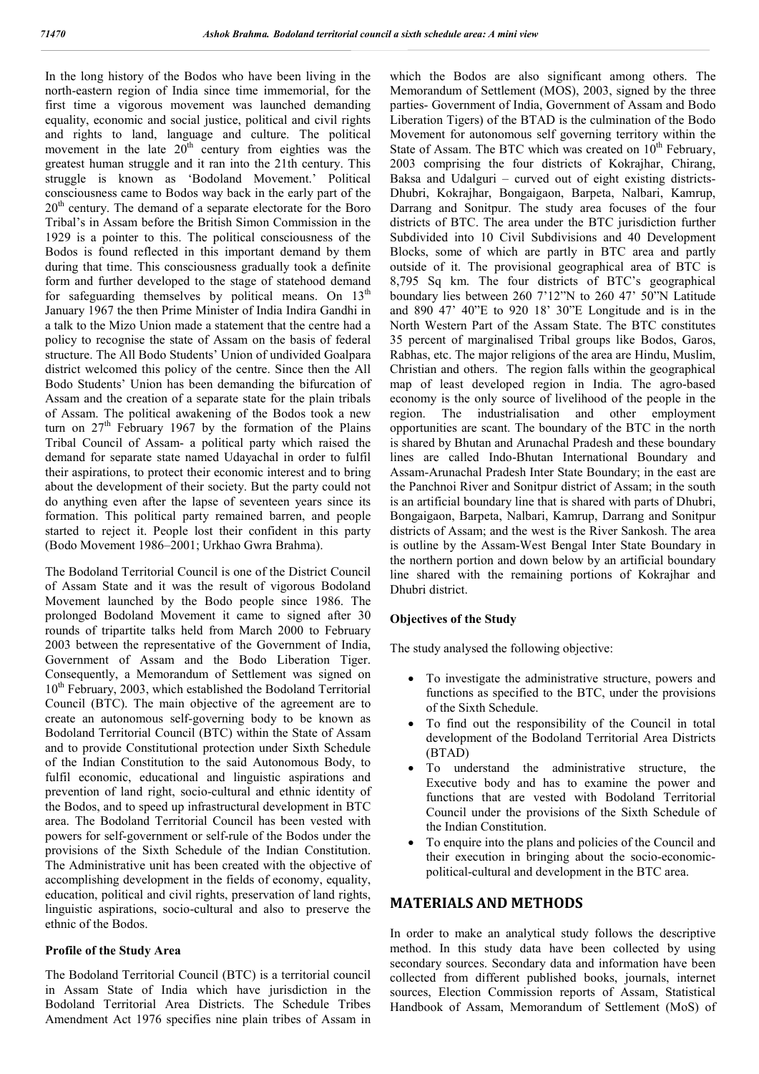In the long history of the Bodos who have been living in the north-eastern region of India since time immemorial, for the first time a vigorous movement was launched demanding equality, economic and social justice, political and civil rights and rights to land, language and culture. The political movement in the late  $20<sup>th</sup>$  century from eighties was the greatest human struggle and it ran into the 21th century. This struggle is known as 'Bodoland Movement.' Political consciousness came to Bodos way back in the early part of the  $20<sup>th</sup>$  century. The demand of a separate electorate for the Boro Tribal's in Assam before the British Simon Commission in the 1929 is a pointer to this. The political consciousness of the Bodos is found reflected in this important demand by them during that time. This consciousness gradually took a definite form and further developed to the stage of statehood demand for safeguarding themselves by political means. On  $13<sup>th</sup>$ January 1967 the then Prime Minister of India Indira Gandhi in a talk to the Mizo Union made a statement that the centre had a policy to recognise the state of Assam on the basis of federal structure. The All Bodo Students' Union of undivided Goalpara district welcomed this policy of the centre. Since then the All Bodo Students' Union has been demanding the bifurcation of Assam and the creation of a separate state for the plain tribals of Assam. The political awakening of the Bodos took a new turn on  $27<sup>th</sup>$  February 1967 by the formation of the Plains Tribal Council of Assam- a political party which raised the demand for separate state named Udayachal in order to fulfil their aspirations, to protect their economic interest and to bring about the development of their society. But the party could not do anything even after the lapse of seventeen years since its formation. This political party remained barren, and people started to reject it. People lost their confident in this party (Bodo Movement 1986–2001; Urkhao Gwra Brahma).

The Bodoland Territorial Council is one of the District Council of Assam State and it was the result of vigorous Bodoland Movement launched by the Bodo people since 1986. The prolonged Bodoland Movement it came to signed after 30 rounds of tripartite talks held from March 2000 to February 2003 between the representative of the Government of India, Government of Assam and the Bodo Liberation Tiger. Consequently, a Memorandum of Settlement was signed on  $10<sup>th</sup>$  February, 2003, which established the Bodoland Territorial Council (BTC). The main objective of the agreement are to create an autonomous self-governing body to be known as Bodoland Territorial Council (BTC) within the State of Assam and to provide Constitutional protection under Sixth Schedule of the Indian Constitution to the said Autonomous Body, to fulfil economic, educational and linguistic aspirations and prevention of land right, socio-cultural and ethnic identity of the Bodos, and to speed up infrastructural development in BTC area. The Bodoland Territorial Council has been vested with powers for self-government or self-rule of the Bodos under the provisions of the Sixth Schedule of the Indian Constitution. The Administrative unit has been created with the objective of accomplishing development in the fields of economy, equality, education, political and civil rights, preservation of land rights, linguistic aspirations, socio-cultural and also to preserve the ethnic of the Bodos.

### **Profile of the Study Area**

The Bodoland Territorial Council (BTC) is a territorial council in Assam State of India which have jurisdiction in the Bodoland Territorial Area Districts. The Schedule Tribes Amendment Act 1976 specifies nine plain tribes of Assam in which the Bodos are also significant among others. The Memorandum of Settlement (MOS), 2003, signed by the three parties- Government of India, Government of Assam and Bodo Liberation Tigers) of the BTAD is the culmination of the Bodo Movement for autonomous self governing territory within the State of Assam. The BTC which was created on  $10^{th}$  February, 2003 comprising the four districts of Kokrajhar, Chirang, Baksa and Udalguri – curved out of eight existing districts-Dhubri, Kokrajhar, Bongaigaon, Barpeta, Nalbari, Kamrup, Darrang and Sonitpur. The study area focuses of the four districts of BTC. The area under the BTC jurisdiction further Subdivided into 10 Civil Subdivisions and 40 Development Blocks, some of which are partly in BTC area and partly outside of it. The provisional geographical area of BTC is 8,795 Sq km. The four districts of BTC's geographical boundary lies between 260 7'12"N to 260 47' 50"N Latitude and 890 47' 40"E to 920 18' 30"E Longitude and is in the North Western Part of the Assam State. The BTC constitutes 35 percent of marginalised Tribal groups like Bodos, Garos, Rabhas, etc. The major religions of the area are Hindu, Muslim, Christian and others. The region falls within the geographical map of least developed region in India. The agro-based economy is the only source of livelihood of the people in the region. The industrialisation and other employment opportunities are scant. The boundary of the BTC in the north is shared by Bhutan and Arunachal Pradesh and these boundary lines are called Indo-Bhutan International Boundary and Assam-Arunachal Pradesh Inter State Boundary; in the east are the Panchnoi River and Sonitpur district of Assam; in the south is an artificial boundary line that is shared with parts of Dhubri, Bongaigaon, Barpeta, Nalbari, Kamrup, Darrang and Sonitpur districts of Assam; and the west is the River Sankosh. The area is outline by the Assam-West Bengal Inter State Boundary in the northern portion and down below by an artificial boundary line shared with the remaining portions of Kokrajhar and Dhubri district.

### **Objectives of the Study**

The study analysed the following objective:

- To investigate the administrative structure, powers and functions as specified to the BTC, under the provisions of the Sixth Schedule.
- To find out the responsibility of the Council in total development of the Bodoland Territorial Area Districts (BTAD)
- To understand the administrative structure, the Executive body and has to examine the power and functions that are vested with Bodoland Territorial Council under the provisions of the Sixth Schedule of the Indian Constitution.
- To enquire into the plans and policies of the Council and their execution in bringing about the socio-economicpolitical-cultural and development in the BTC area.

## **MATERIALS AND METHODS**

In order to make an analytical study follows the descriptive method. In this study data have been collected by using secondary sources. Secondary data and information have been collected from different published books, journals, internet sources, Election Commission reports of Assam, Statistical Handbook of Assam, Memorandum of Settlement (MoS) of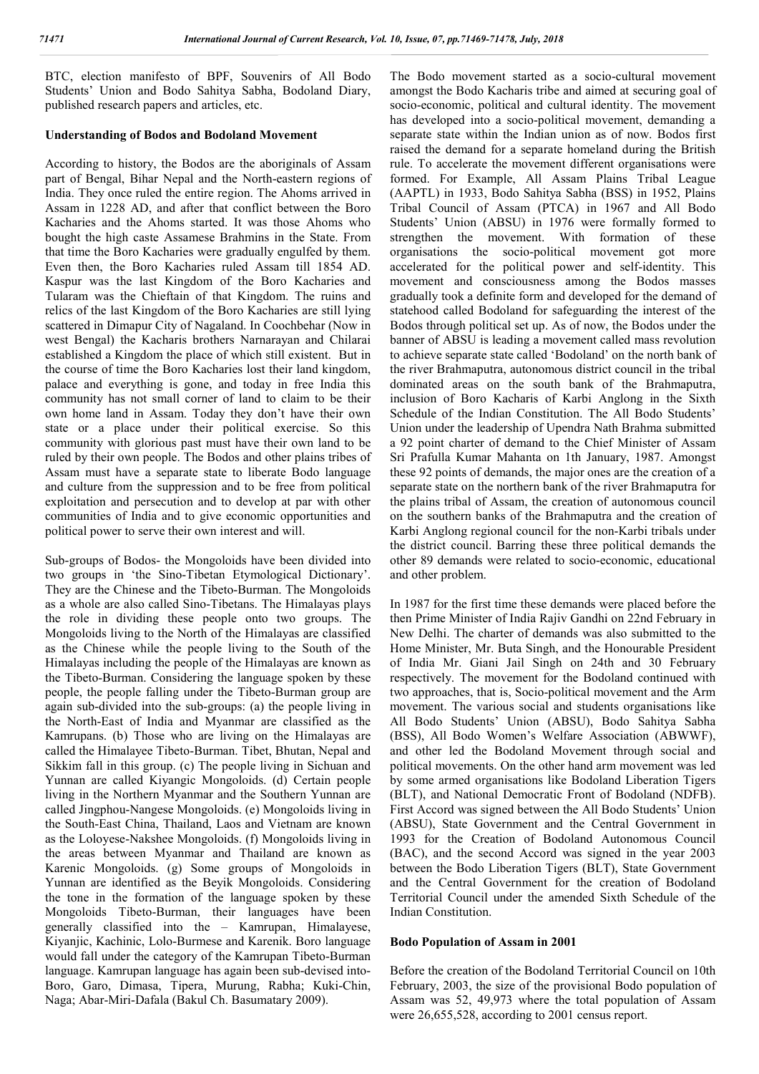BTC, election manifesto of BPF, Souvenirs of All Bodo Students' Union and Bodo Sahitya Sabha, Bodoland Diary, published research papers and articles, etc.

#### **Understanding of Bodos and Bodoland Movement**

According to history, the Bodos are the aboriginals of Assam part of Bengal, Bihar Nepal and the North-eastern regions of India. They once ruled the entire region. The Ahoms arrived in Assam in 1228 AD, and after that conflict between the Boro Kacharies and the Ahoms started. It was those Ahoms who bought the high caste Assamese Brahmins in the State. From that time the Boro Kacharies were gradually engulfed by them. Even then, the Boro Kacharies ruled Assam till 1854 AD. Kaspur was the last Kingdom of the Boro Kacharies and Tularam was the Chieftain of that Kingdom. The ruins and relics of the last Kingdom of the Boro Kacharies are still lying scattered in Dimapur City of Nagaland. In Coochbehar (Now in west Bengal) the Kacharis brothers Narnarayan and Chilarai established a Kingdom the place of which still existent. But in the course of time the Boro Kacharies lost their land kingdom, palace and everything is gone, and today in free India this community has not small corner of land to claim to be their own home land in Assam. Today they don't have their own state or a place under their political exercise. So this community with glorious past must have their own land to be ruled by their own people. The Bodos and other plains tribes of Assam must have a separate state to liberate Bodo language and culture from the suppression and to be free from political exploitation and persecution and to develop at par with other communities of India and to give economic opportunities and political power to serve their own interest and will.

Sub-groups of Bodos- the Mongoloids have been divided into two groups in 'the Sino-Tibetan Etymological Dictionary'. They are the Chinese and the Tibeto-Burman. The Mongoloids as a whole are also called Sino-Tibetans. The Himalayas plays the role in dividing these people onto two groups. The Mongoloids living to the North of the Himalayas are classified as the Chinese while the people living to the South of the Himalayas including the people of the Himalayas are known as the Tibeto-Burman. Considering the language spoken by these people, the people falling under the Tibeto-Burman group are again sub-divided into the sub-groups: (a) the people living in the North-East of India and Myanmar are classified as the Kamrupans. (b) Those who are living on the Himalayas are called the Himalayee Tibeto-Burman. Tibet, Bhutan, Nepal and Sikkim fall in this group. (c) The people living in Sichuan and Yunnan are called Kiyangic Mongoloids. (d) Certain people living in the Northern Myanmar and the Southern Yunnan are called Jingphou-Nangese Mongoloids. (e) Mongoloids living in the South-East China, Thailand, Laos and Vietnam are known as the Loloyese-Nakshee Mongoloids. (f) Mongoloids living in the areas between Myanmar and Thailand are known as Karenic Mongoloids. (g) Some groups of Mongoloids in Yunnan are identified as the Beyik Mongoloids. Considering the tone in the formation of the language spoken by these Mongoloids Tibeto-Burman, their languages have been generally classified into the – Kamrupan, Himalayese, Kiyanjic, Kachinic, Lolo-Burmese and Karenik. Boro language would fall under the category of the Kamrupan Tibeto-Burman language. Kamrupan language has again been sub-devised into-Boro, Garo, Dimasa, Tipera, Murung, Rabha; Kuki-Chin, Naga; Abar-Miri-Dafala (Bakul Ch. Basumatary 2009).

The Bodo movement started as a socio-cultural movement amongst the Bodo Kacharis tribe and aimed at securing goal of socio-economic, political and cultural identity. The movement has developed into a socio-political movement, demanding a separate state within the Indian union as of now. Bodos first raised the demand for a separate homeland during the British rule. To accelerate the movement different organisations were formed. For Example, All Assam Plains Tribal League (AAPTL) in 1933, Bodo Sahitya Sabha (BSS) in 1952, Plains Tribal Council of Assam (PTCA) in 1967 and All Bodo Students' Union (ABSU) in 1976 were formally formed to strengthen the movement. With formation of these organisations the socio-political movement got more accelerated for the political power and self-identity. This movement and consciousness among the Bodos masses gradually took a definite form and developed for the demand of statehood called Bodoland for safeguarding the interest of the Bodos through political set up. As of now, the Bodos under the banner of ABSU is leading a movement called mass revolution to achieve separate state called 'Bodoland' on the north bank of the river Brahmaputra, autonomous district council in the tribal dominated areas on the south bank of the Brahmaputra, inclusion of Boro Kacharis of Karbi Anglong in the Sixth Schedule of the Indian Constitution. The All Bodo Students' Union under the leadership of Upendra Nath Brahma submitted a 92 point charter of demand to the Chief Minister of Assam Sri Prafulla Kumar Mahanta on 1th January, 1987. Amongst these 92 points of demands, the major ones are the creation of a separate state on the northern bank of the river Brahmaputra for the plains tribal of Assam, the creation of autonomous council on the southern banks of the Brahmaputra and the creation of Karbi Anglong regional council for the non-Karbi tribals under the district council. Barring these three political demands the other 89 demands were related to socio-economic, educational and other problem.

In 1987 for the first time these demands were placed before the then Prime Minister of India Rajiv Gandhi on 22nd February in New Delhi. The charter of demands was also submitted to the Home Minister, Mr. Buta Singh, and the Honourable President of India Mr. Giani Jail Singh on 24th and 30 February respectively. The movement for the Bodoland continued with two approaches, that is, Socio-political movement and the Arm movement. The various social and students organisations like All Bodo Students' Union (ABSU), Bodo Sahitya Sabha (BSS), All Bodo Women's Welfare Association (ABWWF), and other led the Bodoland Movement through social and political movements. On the other hand arm movement was led by some armed organisations like Bodoland Liberation Tigers (BLT), and National Democratic Front of Bodoland (NDFB). First Accord was signed between the All Bodo Students' Union (ABSU), State Government and the Central Government in 1993 for the Creation of Bodoland Autonomous Council (BAC), and the second Accord was signed in the year 2003 between the Bodo Liberation Tigers (BLT), State Government and the Central Government for the creation of Bodoland Territorial Council under the amended Sixth Schedule of the Indian Constitution.

#### **Bodo Population of Assam in 2001**

Before the creation of the Bodoland Territorial Council on 10th February, 2003, the size of the provisional Bodo population of Assam was 52, 49,973 where the total population of Assam were 26,655,528, according to 2001 census report.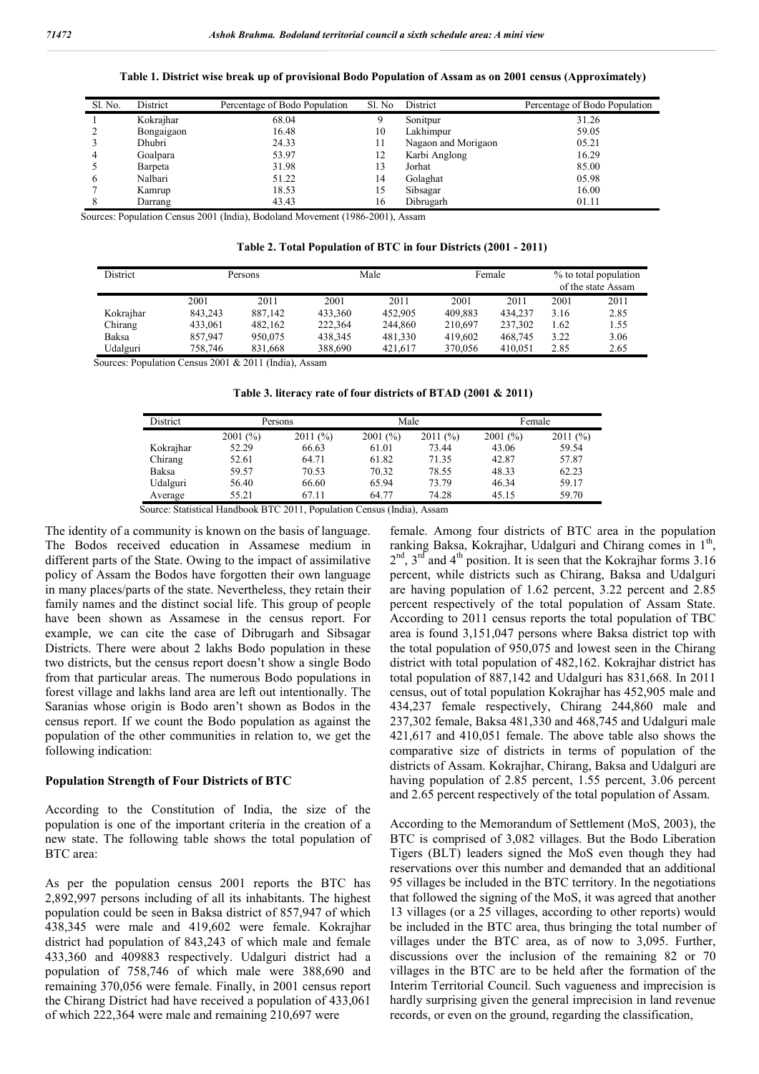| Sl. No. | District   | Percentage of Bodo Population | Sl. No | District            | Percentage of Bodo Population |
|---------|------------|-------------------------------|--------|---------------------|-------------------------------|
|         | Kokrajhar  | 68.04                         |        | Sonitpur            | 31.26                         |
|         | Bongaigaon | 16.48                         | 10     | Lakhimpur           | 59.05                         |
|         | Dhubri     | 24.33                         | 11     | Nagaon and Morigaon | 05.21                         |
| 4       | Goalpara   | 53.97                         | 12     | Karbi Anglong       | 16.29                         |
|         | Barpeta    | 31.98                         | 13     | Jorhat              | 85.00                         |
| 6       | Nalbari    | 51.22                         | 14     | Golaghat            | 05.98                         |
|         | Kamrup     | 18.53                         | 15     | Sibsagar            | 16.00                         |
|         | Darrang    | 43.43                         | 16     | Dibrugarh           | 01.11                         |

**Table 1. District wise break up of provisional Bodo Population of Assam as on 2001 census (Approximately)**

Sources: Population Census 2001 (India), Bodoland Movement (1986-2001), Assam

| District  | Persons |         |         | Male    |         | Female  |      | % to total population<br>of the state Assam |  |
|-----------|---------|---------|---------|---------|---------|---------|------|---------------------------------------------|--|
|           | 2001    | 2011    | 2001    | 2011    | 2001    | 2011    | 2001 | 2011                                        |  |
| Kokrajhar | 843.243 | 887.142 | 433.360 | 452.905 | 409.883 | 434.237 | 3.16 | 2.85                                        |  |
| Chirang   | 433.061 | 482.162 | 222,364 | 244.860 | 210.697 | 237.302 | 1.62 | 1.55                                        |  |
| Baksa     | 857.947 | 950.075 | 438.345 | 481.330 | 419.602 | 468.745 | 3.22 | 3.06                                        |  |
| Udalguri  | 758,746 | 831.668 | 388.690 | 421.617 | 370.056 | 410.051 | 2.85 | 2.65                                        |  |

Sources: Population Census 2001 & 2011 (India), Assam

**Table 3. literacy rate of four districts of BTAD (2001 & 2011)**

| District  | Persons |         | Male    |         | Female  |         |
|-----------|---------|---------|---------|---------|---------|---------|
|           | 2001(%) | 2011(%) | 2001(%) | 2011(%) | 2001(%) | 2011(%) |
| Kokrajhar | 52.29   | 66.63   | 61.01   | 73.44   | 43.06   | 59.54   |
| Chirang   | 52.61   | 64.71   | 61.82   | 71.35   | 42.87   | 57.87   |
| Baksa     | 59.57   | 70.53   | 70.32   | 78.55   | 48.33   | 62.23   |
| Udalguri  | 56.40   | 66.60   | 65.94   | 73.79   | 46.34   | 59.17   |
| Average   | 55.21   | 67.11   | 64.77   | 74.28   | 45.15   | 59.70   |

Source: Statistical Handbook BTC 2011, Population Census (India), Assam

The identity of a community is known on the basis of language. The Bodos received education in Assamese medium in different parts of the State. Owing to the impact of assimilative policy of Assam the Bodos have forgotten their own language in many places/parts of the state. Nevertheless, they retain their family names and the distinct social life. This group of people have been shown as Assamese in the census report. For example, we can cite the case of Dibrugarh and Sibsagar Districts. There were about 2 lakhs Bodo population in these two districts, but the census report doesn't show a single Bodo from that particular areas. The numerous Bodo populations in forest village and lakhs land area are left out intentionally. The Saranias whose origin is Bodo aren't shown as Bodos in the census report. If we count the Bodo population as against the population of the other communities in relation to, we get the following indication:

#### **Population Strength of Four Districts of BTC**

According to the Constitution of India, the size of the population is one of the important criteria in the creation of a new state. The following table shows the total population of BTC area:

As per the population census 2001 reports the BTC has 2,892,997 persons including of all its inhabitants. The highest population could be seen in Baksa district of 857,947 of which 438,345 were male and 419,602 were female. Kokrajhar district had population of 843,243 of which male and female 433,360 and 409883 respectively. Udalguri district had a population of 758,746 of which male were 388,690 and remaining 370,056 were female. Finally, in 2001 census report the Chirang District had have received a population of 433,061 of which 222,364 were male and remaining 210,697 were

female. Among four districts of BTC area in the population ranking Baksa, Kokrajhar, Udalguri and Chirang comes in 1<sup>th</sup>,  $2<sup>nd</sup>$ ,  $3<sup>rd</sup>$  and  $4<sup>th</sup>$  position. It is seen that the Kokrajhar forms 3.16 percent, while districts such as Chirang, Baksa and Udalguri are having population of 1.62 percent, 3.22 percent and 2.85 percent respectively of the total population of Assam State. According to 2011 census reports the total population of TBC area is found 3,151,047 persons where Baksa district top with the total population of 950,075 and lowest seen in the Chirang district with total population of 482,162. Kokrajhar district has total population of 887,142 and Udalguri has 831,668. In 2011 census, out of total population Kokrajhar has 452,905 male and 434,237 female respectively, Chirang 244,860 male and 237,302 female, Baksa 481,330 and 468,745 and Udalguri male 421,617 and 410,051 female. The above table also shows the comparative size of districts in terms of population of the districts of Assam. Kokrajhar, Chirang, Baksa and Udalguri are having population of 2.85 percent, 1.55 percent, 3.06 percent and 2.65 percent respectively of the total population of Assam.

According to the Memorandum of Settlement (MoS, 2003), the BTC is comprised of 3,082 villages. But the Bodo Liberation Tigers (BLT) leaders signed the MoS even though they had reservations over this number and demanded that an additional 95 villages be included in the BTC territory. In the negotiations that followed the signing of the MoS, it was agreed that another 13 villages (or a 25 villages, according to other reports) would be included in the BTC area, thus bringing the total number of villages under the BTC area, as of now to 3,095. Further, discussions over the inclusion of the remaining 82 or 70 villages in the BTC are to be held after the formation of the Interim Territorial Council. Such vagueness and imprecision is hardly surprising given the general imprecision in land revenue records, or even on the ground, regarding the classification,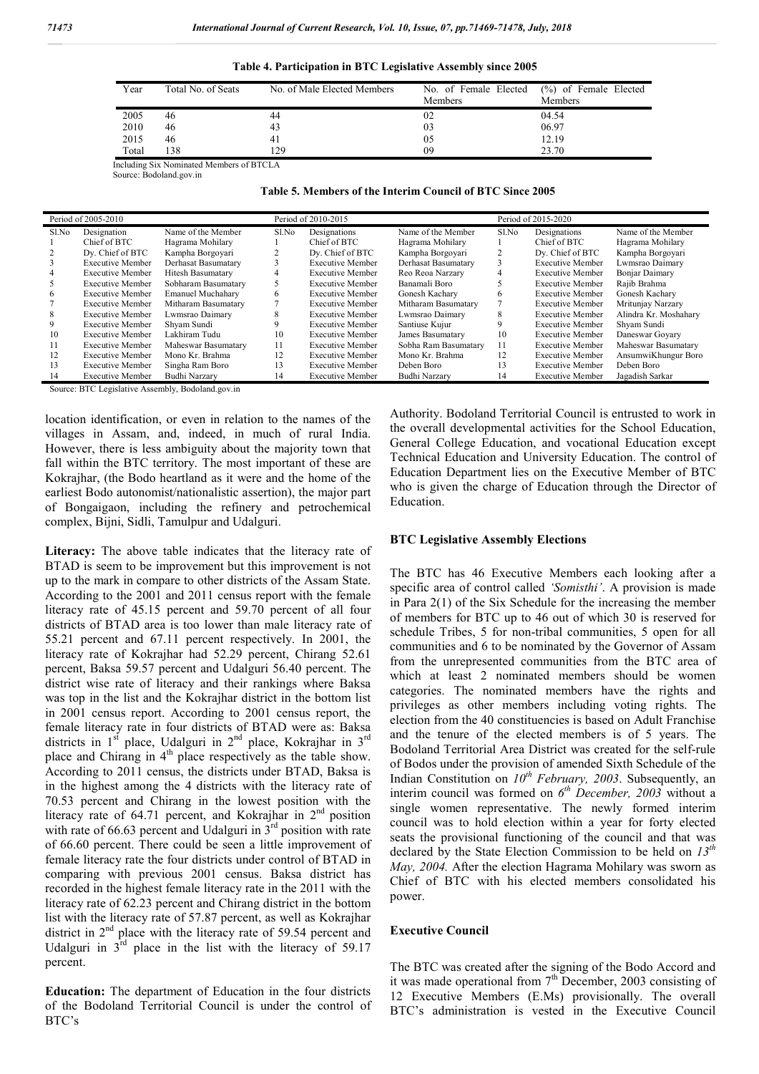|  | Table 4. Participation in BTC Legislative Assembly since 2005 |
|--|---------------------------------------------------------------|
|  |                                                               |

| Year  | Total No. of Seats | No. of Male Elected Members | No. of Female Elected<br>Members | $(\%)$ of Female Elected<br>Members |
|-------|--------------------|-----------------------------|----------------------------------|-------------------------------------|
| 2005  | 46                 | 44                          | 02                               | 04.54                               |
| 2010  | 46                 | 43                          | 03                               | 06.97                               |
| 2015  | 46                 |                             | 05                               | 12.19                               |
| Total | 138                | 129                         | 09                               | 23.70                               |

Including Six Nominated Members of BTCLA Source: Bodoland.gov.in

| Table 5. Members of the Interim Council of BTC Since 2005 |  |
|-----------------------------------------------------------|--|
|-----------------------------------------------------------|--|

|       | Period of 2005-2010     |                          |       | Period of 2010-2015     |                      |       | Period of 2015-2020     |                       |
|-------|-------------------------|--------------------------|-------|-------------------------|----------------------|-------|-------------------------|-----------------------|
| Sl.No | Designation             | Name of the Member       | Sl.No | Designations            | Name of the Member   | Sl.No | Designations            | Name of the Member    |
|       | Chief of BTC            | Hagrama Mohilary         |       | Chief of BTC            | Hagrama Mohilary     |       | Chief of BTC            | Hagrama Mohilary      |
|       | Dy. Chief of BTC        | Kampha Borgovari         |       | Dv. Chief of BTC        | Kampha Borgovari     |       | Dv. Chief of BTC        | Kampha Borgovari      |
|       | <b>Executive Member</b> | Derhasat Basumatary      |       | <b>Executive Member</b> | Derhasat Basumatary  |       | <b>Executive Member</b> | Lwmsrao Daimary       |
|       | <b>Executive Member</b> | <b>Hitesh Basumatary</b> |       | <b>Executive Member</b> | Reo Reoa Narzary     | 4     | <b>Executive Member</b> | <b>Boniar Daimary</b> |
|       | <b>Executive Member</b> | Sobharam Basumatary      |       | <b>Executive Member</b> | Banamali Boro        |       | <b>Executive Member</b> | Rajib Brahma          |
|       | <b>Executive Member</b> | <b>Emanuel Muchahary</b> | 6     | <b>Executive Member</b> | Gonesh Kachary       | h     | <b>Executive Member</b> | Gonesh Kachary        |
|       | <b>Executive Member</b> | Mitharam Basumatary      |       | <b>Executive Member</b> | Mitharam Basumatary  |       | <b>Executive Member</b> | Mritunjay Narzary     |
| x     | <b>Executive Member</b> | Lwmsrao Daimary          | 8     | <b>Executive Member</b> | Lwmsrao Daimary      | 8     | <b>Executive Member</b> | Alindra Kr. Moshahary |
|       | <b>Executive Member</b> | Shvam Sundi              |       | <b>Executive Member</b> | Santiuse Kujur       | 9     | <b>Executive Member</b> | Shyam Sundi           |
| 10    | <b>Executive Member</b> | Lakhiram Tudu            | 10    | <b>Executive Member</b> | James Basumatary     | 10    | <b>Executive Member</b> | Daneswar Goyary       |
| 11    | <b>Executive Member</b> | Maheswar Basumatary      | 11    | <b>Executive Member</b> | Sobha Ram Basumatary | 11    | <b>Executive Member</b> | Maheswar Basumatary   |
| 12    | <b>Executive Member</b> | Mono Kr. Brahma          | 12    | <b>Executive Member</b> | Mono Kr. Brahma      | 12    | <b>Executive Member</b> | AnsumwiKhungur Boro   |
| 13    | <b>Executive Member</b> | Singha Ram Boro          | 13    | <b>Executive Member</b> | Deben Boro           | 13    | <b>Executive Member</b> | Deben Boro            |
| 14    | <b>Executive Member</b> | Budhi Narzary            | 14    | <b>Executive Member</b> | Budhi Narzary        | 14    | <b>Executive Member</b> | Jagadish Sarkar       |
|       |                         |                          |       |                         |                      |       |                         |                       |

Source: BTC Legislative Assembly, Bodoland.gov.in

location identification, or even in relation to the names of the villages in Assam, and, indeed, in much of rural India. However, there is less ambiguity about the majority town that fall within the BTC territory. The most important of these are Kokrajhar, (the Bodo heartland as it were and the home of the earliest Bodo autonomist/nationalistic assertion), the major part of Bongaigaon, including the refinery and petrochemical complex, Bijni, Sidli, Tamulpur and Udalguri.

Literacy: The above table indicates that the literacy rate of BTAD is seem to be improvement but this improvement is not up to the mark in compare to other districts of the Assam State. According to the 2001 and 2011 census report with the female literacy rate of 45.15 percent and 59.70 percent of all four districts of BTAD area is too lower than male literacy rate of 55.21 percent and 67.11 percent respectively. In 2001, the literacy rate of Kokrajhar had 52.29 percent, Chirang 52.61 percent, Baksa 59.57 percent and Udalguri 56.40 percent. The district wise rate of literacy and their rankings where Baksa was top in the list and the Kokrajhar district in the bottom list in 2001 census report. According to 2001 census report, the female literacy rate in four districts of BTAD were as: Baksa districts in  $1<sup>st</sup>$  place, Udalguri in  $2<sup>nd</sup>$  place, Kokrajhar in  $3<sup>rd</sup>$ place and Chirang in 4<sup>th</sup> place respectively as the table show. According to 2011 census, the districts under BTAD, Baksa is in the highest among the 4 districts with the literacy rate of 70.53 percent and Chirang in the lowest position with the literacy rate of 64.71 percent, and Kokrajhar in 2<sup>nd</sup> position with rate of 66.63 percent and Udalguri in  $3<sup>rd</sup>$  position with rate of 66.60 percent. There could be seen a little improvement of female literacy rate the four districts under control of BTAD in comparing with previous 2001 census. Baksa district has recorded in the highest female literacy rate in the 2011 with the literacy rate of 62.23 percent and Chirang district in the bottom list with the literacy rate of 57.87 percent, as well as Kokrajhar district in  $2<sup>nd</sup>$  place with the literacy rate of 59.54 percent and Udalguri in  $3<sup>rd</sup>$  place in the list with the literacy of 59.17 percent.

**Education:** The department of Education in the four districts of the Bodoland Territorial Council is under the control of BTC's

Authority. Bodoland Territorial Council is entrusted to work in the overall developmental activities for the School Education, General College Education, and vocational Education except Technical Education and University Education. The control of Education Department lies on the Executive Member of BTC who is given the charge of Education through the Director of Education.

#### **BTC Legislative Assembly Elections**

The BTC has 46 Executive Members each looking after a specific area of control called *'Somisthi'*. A provision is made in Para 2(1) of the Six Schedule for the increasing the member of members for BTC up to 46 out of which 30 is reserved for schedule Tribes, 5 for non-tribal communities, 5 open for all communities and 6 to be nominated by the Governor of Assam from the unrepresented communities from the BTC area of which at least 2 nominated members should be women categories. The nominated members have the rights and privileges as other members including voting rights. The election from the 40 constituencies is based on Adult Franchise and the tenure of the elected members is of 5 years. The Bodoland Territorial Area District was created for the self-rule of Bodos under the provision of amended Sixth Schedule of the Indian Constitution on *10th February, 2003*. Subsequently, an interim council was formed on *6th December, 2003* without a single women representative. The newly formed interim council was to hold election within a year for forty elected seats the provisional functioning of the council and that was declared by the State Election Commission to be held on *13th May, 2004.* After the election Hagrama Mohilary was sworn as Chief of BTC with his elected members consolidated his power.

#### **Executive Council**

The BTC was created after the signing of the Bodo Accord and it was made operational from  $7<sup>th</sup>$  December, 2003 consisting of 12 Executive Members (E.Ms) provisionally. The overall BTC's administration is vested in the Executive Council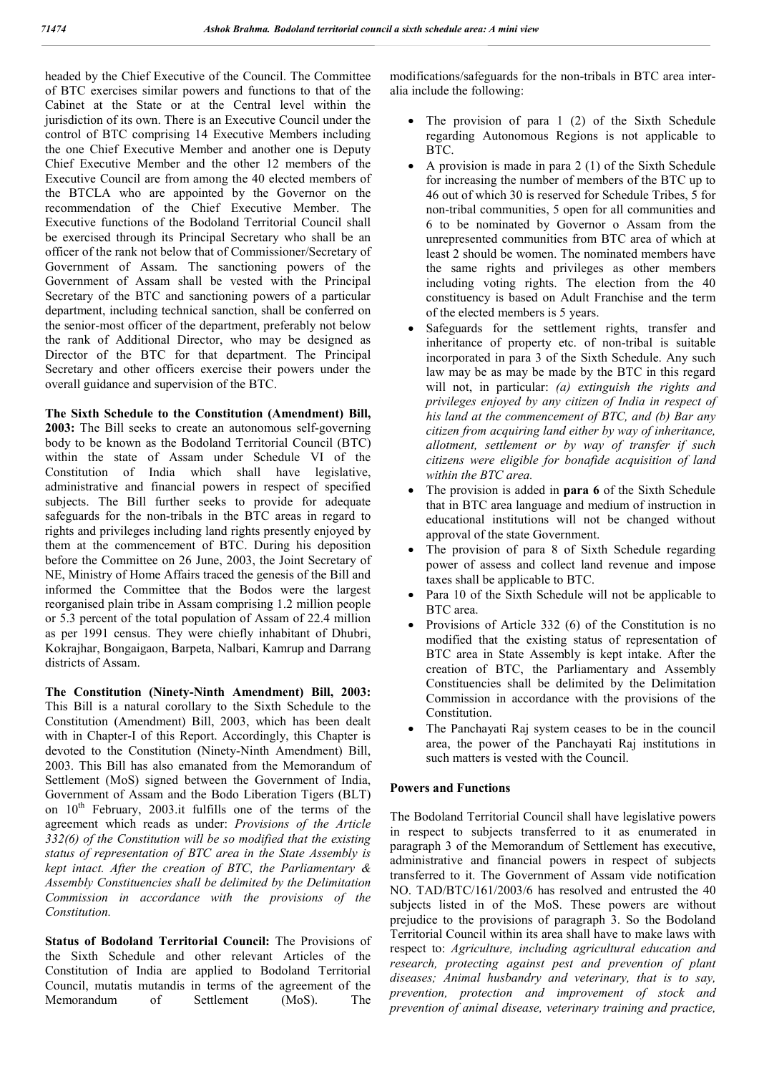headed by the Chief Executive of the Council. The Committee of BTC exercises similar powers and functions to that of the Cabinet at the State or at the Central level within the jurisdiction of its own. There is an Executive Council under the control of BTC comprising 14 Executive Members including the one Chief Executive Member and another one is Deputy Chief Executive Member and the other 12 members of the Executive Council are from among the 40 elected members of the BTCLA who are appointed by the Governor on the recommendation of the Chief Executive Member. The Executive functions of the Bodoland Territorial Council shall be exercised through its Principal Secretary who shall be an officer of the rank not below that of Commissioner/Secretary of Government of Assam. The sanctioning powers of the Government of Assam shall be vested with the Principal Secretary of the BTC and sanctioning powers of a particular department, including technical sanction, shall be conferred on the senior-most officer of the department, preferably not below the rank of Additional Director, who may be designed as Director of the BTC for that department. The Principal Secretary and other officers exercise their powers under the overall guidance and supervision of the BTC.

**The Sixth Schedule to the Constitution (Amendment) Bill, 2003:** The Bill seeks to create an autonomous self-governing body to be known as the Bodoland Territorial Council (BTC) within the state of Assam under Schedule VI of the Constitution of India which shall have legislative, administrative and financial powers in respect of specified subjects. The Bill further seeks to provide for adequate safeguards for the non-tribals in the BTC areas in regard to rights and privileges including land rights presently enjoyed by them at the commencement of BTC. During his deposition before the Committee on 26 June, 2003, the Joint Secretary of NE, Ministry of Home Affairs traced the genesis of the Bill and informed the Committee that the Bodos were the largest reorganised plain tribe in Assam comprising 1.2 million people or 5.3 percent of the total population of Assam of 22.4 million as per 1991 census. They were chiefly inhabitant of Dhubri, Kokrajhar, Bongaigaon, Barpeta, Nalbari, Kamrup and Darrang districts of Assam.

**The Constitution (Ninety-Ninth Amendment) Bill, 2003:** This Bill is a natural corollary to the Sixth Schedule to the Constitution (Amendment) Bill, 2003, which has been dealt with in Chapter-I of this Report. Accordingly, this Chapter is devoted to the Constitution (Ninety-Ninth Amendment) Bill, 2003. This Bill has also emanated from the Memorandum of Settlement (MoS) signed between the Government of India, Government of Assam and the Bodo Liberation Tigers (BLT) on  $10<sup>th</sup>$  February, 2003.it fulfills one of the terms of the agreement which reads as under: *Provisions of the Article 332(6) of the Constitution will be so modified that the existing status of representation of BTC area in the State Assembly is kept intact. After the creation of BTC, the Parliamentary & Assembly Constituencies shall be delimited by the Delimitation Commission in accordance with the provisions of the Constitution.*

**Status of Bodoland Territorial Council:** The Provisions of the Sixth Schedule and other relevant Articles of the Constitution of India are applied to Bodoland Territorial Council, mutatis mutandis in terms of the agreement of the Memorandum of Settlement (MoS). The modifications/safeguards for the non-tribals in BTC area interalia include the following:

- The provision of para 1 (2) of the Sixth Schedule regarding Autonomous Regions is not applicable to BTC.
- A provision is made in para 2 (1) of the Sixth Schedule for increasing the number of members of the BTC up to 46 out of which 30 is reserved for Schedule Tribes, 5 for non-tribal communities, 5 open for all communities and 6 to be nominated by Governor o Assam from the unrepresented communities from BTC area of which at least 2 should be women. The nominated members have the same rights and privileges as other members including voting rights. The election from the 40 constituency is based on Adult Franchise and the term of the elected members is 5 years.
- Safeguards for the settlement rights, transfer and inheritance of property etc. of non-tribal is suitable incorporated in para 3 of the Sixth Schedule. Any such law may be as may be made by the BTC in this regard will not, in particular: *(a) extinguish the rights and privileges enjoyed by any citizen of India in respect of his land at the commencement of BTC, and (b) Bar any citizen from acquiring land either by way of inheritance, allotment, settlement or by way of transfer if such citizens were eligible for bonafide acquisition of land within the BTC area.*
- The provision is added in **para 6** of the Sixth Schedule that in BTC area language and medium of instruction in educational institutions will not be changed without approval of the state Government.
- The provision of para 8 of Sixth Schedule regarding power of assess and collect land revenue and impose taxes shall be applicable to BTC.
- Para 10 of the Sixth Schedule will not be applicable to BTC area.
- Provisions of Article 332 (6) of the Constitution is no modified that the existing status of representation of BTC area in State Assembly is kept intake. After the creation of BTC, the Parliamentary and Assembly Constituencies shall be delimited by the Delimitation Commission in accordance with the provisions of the Constitution.
- The Panchayati Raj system ceases to be in the council area, the power of the Panchayati Raj institutions in such matters is vested with the Council.

## **Powers and Functions**

The Bodoland Territorial Council shall have legislative powers in respect to subjects transferred to it as enumerated in paragraph 3 of the Memorandum of Settlement has executive, administrative and financial powers in respect of subjects transferred to it. The Government of Assam vide notification NO. TAD/BTC/161/2003/6 has resolved and entrusted the 40 subjects listed in of the MoS. These powers are without prejudice to the provisions of paragraph 3. So the Bodoland Territorial Council within its area shall have to make laws with respect to: *Agriculture, including agricultural education and research, protecting against pest and prevention of plant diseases; Animal husbandry and veterinary, that is to say, prevention, protection and improvement of stock and prevention of animal disease, veterinary training and practice,*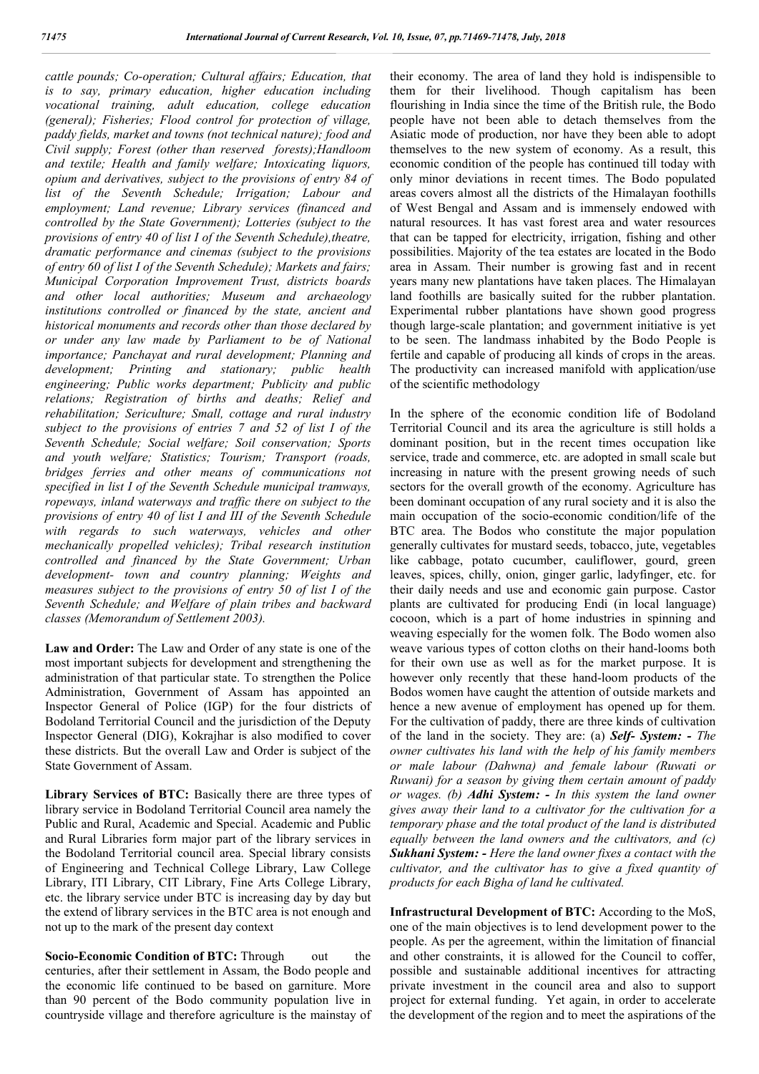*cattle pounds; Co-operation; Cultural affairs; Education, that is to say, primary education, higher education including vocational training, adult education, college education (general); Fisheries; Flood control for protection of village, paddy fields, market and towns (not technical nature); food and Civil supply; Forest (other than reserved forests);Handloom and textile; Health and family welfare; Intoxicating liquors, opium and derivatives, subject to the provisions of entry 84 of list of the Seventh Schedule; Irrigation; Labour and employment; Land revenue; Library services (financed and controlled by the State Government); Lotteries (subject to the provisions of entry 40 of list I of the Seventh Schedule),theatre, dramatic performance and cinemas (subject to the provisions of entry 60 of list I of the Seventh Schedule); Markets and fairs; Municipal Corporation Improvement Trust, districts boards and other local authorities; Museum and archaeology institutions controlled or financed by the state, ancient and historical monuments and records other than those declared by or under any law made by Parliament to be of National importance; Panchayat and rural development; Planning and development; Printing and stationary; public health engineering; Public works department; Publicity and public relations; Registration of births and deaths; Relief and rehabilitation; Sericulture; Small, cottage and rural industry subject to the provisions of entries 7 and 52 of list I of the Seventh Schedule; Social welfare; Soil conservation; Sports and youth welfare; Statistics; Tourism; Transport (roads, bridges ferries and other means of communications not specified in list I of the Seventh Schedule municipal tramways, ropeways, inland waterways and traffic there on subject to the provisions of entry 40 of list I and III of the Seventh Schedule*  with regards to such waterways, vehicles and other *mechanically propelled vehicles); Tribal research institution controlled and financed by the State Government; Urban development- town and country planning; Weights and measures subject to the provisions of entry 50 of list I of the Seventh Schedule; and Welfare of plain tribes and backward classes (Memorandum of Settlement 2003).* 

**Law and Order:** The Law and Order of any state is one of the most important subjects for development and strengthening the administration of that particular state. To strengthen the Police Administration, Government of Assam has appointed an Inspector General of Police (IGP) for the four districts of Bodoland Territorial Council and the jurisdiction of the Deputy Inspector General (DIG), Kokrajhar is also modified to cover these districts. But the overall Law and Order is subject of the State Government of Assam.

**Library Services of BTC:** Basically there are three types of library service in Bodoland Territorial Council area namely the Public and Rural, Academic and Special. Academic and Public and Rural Libraries form major part of the library services in the Bodoland Territorial council area. Special library consists of Engineering and Technical College Library, Law College Library, ITI Library, CIT Library, Fine Arts College Library, etc. the library service under BTC is increasing day by day but the extend of library services in the BTC area is not enough and not up to the mark of the present day context

**Socio-Economic Condition of BTC:** Through out the centuries, after their settlement in Assam, the Bodo people and the economic life continued to be based on garniture. More than 90 percent of the Bodo community population live in countryside village and therefore agriculture is the mainstay of their economy. The area of land they hold is indispensible to them for their livelihood. Though capitalism has been flourishing in India since the time of the British rule, the Bodo people have not been able to detach themselves from the Asiatic mode of production, nor have they been able to adopt themselves to the new system of economy. As a result, this economic condition of the people has continued till today with only minor deviations in recent times. The Bodo populated areas covers almost all the districts of the Himalayan foothills of West Bengal and Assam and is immensely endowed with natural resources. It has vast forest area and water resources that can be tapped for electricity, irrigation, fishing and other possibilities. Majority of the tea estates are located in the Bodo area in Assam. Their number is growing fast and in recent years many new plantations have taken places. The Himalayan land foothills are basically suited for the rubber plantation. Experimental rubber plantations have shown good progress though large-scale plantation; and government initiative is yet to be seen. The landmass inhabited by the Bodo People is fertile and capable of producing all kinds of crops in the areas. The productivity can increased manifold with application/use of the scientific methodology

In the sphere of the economic condition life of Bodoland Territorial Council and its area the agriculture is still holds a dominant position, but in the recent times occupation like service, trade and commerce, etc. are adopted in small scale but increasing in nature with the present growing needs of such sectors for the overall growth of the economy. Agriculture has been dominant occupation of any rural society and it is also the main occupation of the socio-economic condition/life of the BTC area. The Bodos who constitute the major population generally cultivates for mustard seeds, tobacco, jute, vegetables like cabbage, potato cucumber, cauliflower, gourd, green leaves, spices, chilly, onion, ginger garlic, ladyfinger, etc. for their daily needs and use and economic gain purpose. Castor plants are cultivated for producing Endi (in local language) cocoon, which is a part of home industries in spinning and weaving especially for the women folk. The Bodo women also weave various types of cotton cloths on their hand-looms both for their own use as well as for the market purpose. It is however only recently that these hand-loom products of the Bodos women have caught the attention of outside markets and hence a new avenue of employment has opened up for them. For the cultivation of paddy, there are three kinds of cultivation of the land in the society. They are: (a) *Self- System: - The owner cultivates his land with the help of his family members or male labour (Dahwna) and female labour (Ruwati or Ruwani) for a season by giving them certain amount of paddy or wages. (b) Adhi System: - In this system the land owner gives away their land to a cultivator for the cultivation for a temporary phase and the total product of the land is distributed equally between the land owners and the cultivators, and (c) Sukhani System: - Here the land owner fixes a contact with the cultivator, and the cultivator has to give a fixed quantity of products for each Bigha of land he cultivated.*

**Infrastructural Development of BTC:** According to the MoS, one of the main objectives is to lend development power to the people. As per the agreement, within the limitation of financial and other constraints, it is allowed for the Council to coffer, possible and sustainable additional incentives for attracting private investment in the council area and also to support project for external funding. Yet again, in order to accelerate the development of the region and to meet the aspirations of the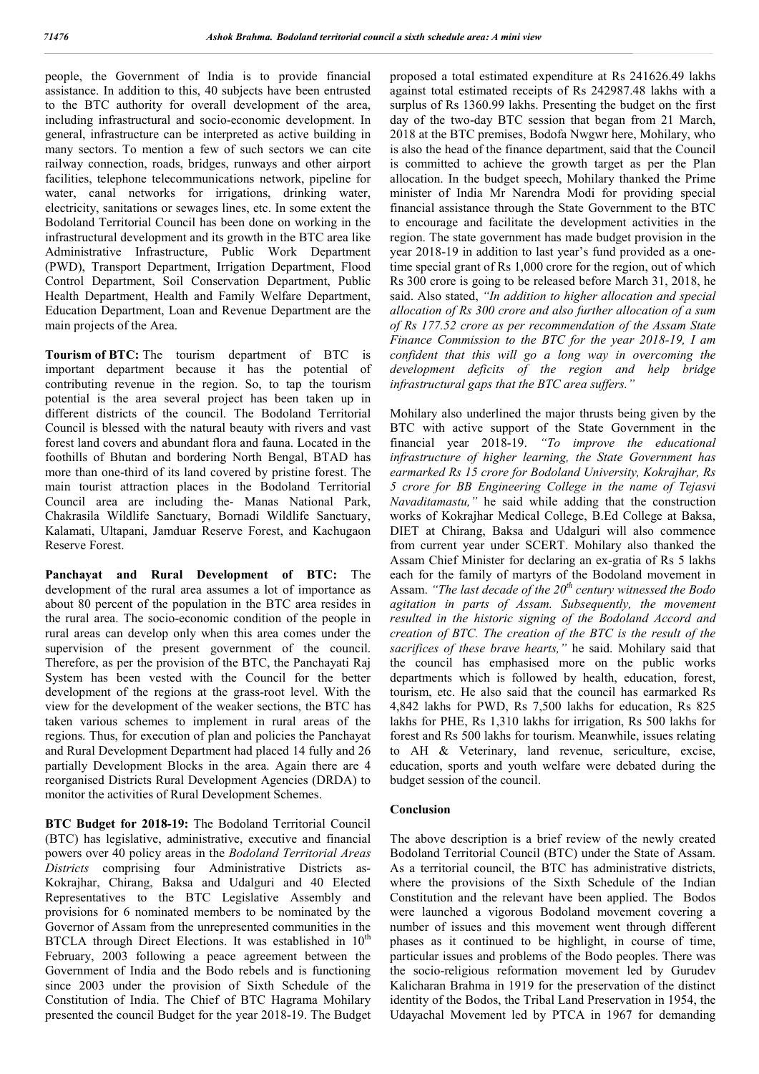people, the Government of India is to provide financial assistance. In addition to this, 40 subjects have been entrusted to the BTC authority for overall development of the area, including infrastructural and socio-economic development. In general, infrastructure can be interpreted as active building in many sectors. To mention a few of such sectors we can cite railway connection, roads, bridges, runways and other airport facilities, telephone telecommunications network, pipeline for water, canal networks for irrigations, drinking water, electricity, sanitations or sewages lines, etc. In some extent the Bodoland Territorial Council has been done on working in the infrastructural development and its growth in the BTC area like Administrative Infrastructure, Public Work Department (PWD), Transport Department, Irrigation Department, Flood Control Department, Soil Conservation Department, Public Health Department, Health and Family Welfare Department, Education Department, Loan and Revenue Department are the main projects of the Area.

**Tourism of BTC:** The tourism department of BTC is important department because it has the potential of contributing revenue in the region. So, to tap the tourism potential is the area several project has been taken up in different districts of the council. The Bodoland Territorial Council is blessed with the natural beauty with rivers and vast forest land covers and abundant flora and fauna. Located in the foothills of Bhutan and bordering North Bengal, BTAD has more than one-third of its land covered by pristine forest. The main tourist attraction places in the Bodoland Territorial Council area are including the- Manas National Park, Chakrasila Wildlife Sanctuary, Bornadi Wildlife Sanctuary, Kalamati, Ultapani, Jamduar Reserve Forest, and Kachugaon Reserve Forest.

**Panchayat and Rural Development of BTC:** The development of the rural area assumes a lot of importance as about 80 percent of the population in the BTC area resides in the rural area. The socio-economic condition of the people in rural areas can develop only when this area comes under the supervision of the present government of the council. Therefore, as per the provision of the BTC, the Panchayati Raj System has been vested with the Council for the better development of the regions at the grass-root level. With the view for the development of the weaker sections, the BTC has taken various schemes to implement in rural areas of the regions. Thus, for execution of plan and policies the Panchayat and Rural Development Department had placed 14 fully and 26 partially Development Blocks in the area. Again there are 4 reorganised Districts Rural Development Agencies (DRDA) to monitor the activities of Rural Development Schemes.

**BTC Budget for 2018-19:** The Bodoland Territorial Council (BTC) has legislative, administrative, executive and financial powers over 40 policy areas in the *Bodoland Territorial Areas Districts* comprising four Administrative Districts as-Kokrajhar, Chirang, Baksa and Udalguri and 40 Elected Representatives to the BTC Legislative Assembly and provisions for 6 nominated members to be nominated by the Governor of Assam from the unrepresented communities in the BTCLA through Direct Elections. It was established in  $10<sup>th</sup>$ February, 2003 following a peace agreement between the Government of India and the Bodo rebels and is functioning since 2003 under the provision of Sixth Schedule of the Constitution of India. The Chief of BTC Hagrama Mohilary presented the council Budget for the year 2018-19. The Budget proposed a total estimated expenditure at Rs 241626.49 lakhs against total estimated receipts of Rs 242987.48 lakhs with a surplus of Rs 1360.99 lakhs. Presenting the budget on the first day of the two-day BTC session that began from 21 March, 2018 at the BTC premises, Bodofa Nwgwr here, Mohilary, who is also the head of the finance department, said that the Council is committed to achieve the growth target as per the Plan allocation. In the budget speech, Mohilary thanked the Prime minister of India Mr Narendra Modi for providing special financial assistance through the State Government to the BTC to encourage and facilitate the development activities in the region. The state government has made budget provision in the year 2018-19 in addition to last year's fund provided as a onetime special grant of Rs 1,000 crore for the region, out of which Rs 300 crore is going to be released before March 31, 2018, he said. Also stated, *"In addition to higher allocation and special allocation of Rs 300 crore and also further allocation of a sum of Rs 177.52 crore as per recommendation of the Assam State Finance Commission to the BTC for the year 2018-19, I am confident that this will go a long way in overcoming the development deficits of the region and help bridge infrastructural gaps that the BTC area suffers."*

Mohilary also underlined the major thrusts being given by the BTC with active support of the State Government in the financial year 2018-19. *"To improve the educational infrastructure of higher learning, the State Government has earmarked Rs 15 crore for Bodoland University, Kokrajhar, Rs 5 crore for BB Engineering College in the name of Tejasvi Navaditamastu,"* he said while adding that the construction works of Kokrajhar Medical College, B.Ed College at Baksa, DIET at Chirang, Baksa and Udalguri will also commence from current year under SCERT. Mohilary also thanked the Assam Chief Minister for declaring an ex-gratia of Rs 5 lakhs each for the family of martyrs of the Bodoland movement in Assam. *"The last decade of the 20th century witnessed the Bodo agitation in parts of Assam. Subsequently, the movement resulted in the historic signing of the Bodoland Accord and creation of BTC. The creation of the BTC is the result of the sacrifices of these brave hearts,"* he said. Mohilary said that the council has emphasised more on the public works departments which is followed by health, education, forest, tourism, etc. He also said that the council has earmarked Rs 4,842 lakhs for PWD, Rs 7,500 lakhs for education, Rs 825 lakhs for PHE, Rs 1,310 lakhs for irrigation, Rs 500 lakhs for forest and Rs 500 lakhs for tourism. Meanwhile, issues relating to AH & Veterinary, land revenue, sericulture, excise, education, sports and youth welfare were debated during the budget session of the council.

### **Conclusion**

The above description is a brief review of the newly created Bodoland Territorial Council (BTC) under the State of Assam. As a territorial council, the BTC has administrative districts, where the provisions of the Sixth Schedule of the Indian Constitution and the relevant have been applied. The Bodos were launched a vigorous Bodoland movement covering a number of issues and this movement went through different phases as it continued to be highlight, in course of time, particular issues and problems of the Bodo peoples. There was the socio-religious reformation movement led by Gurudev Kalicharan Brahma in 1919 for the preservation of the distinct identity of the Bodos, the Tribal Land Preservation in 1954, the Udayachal Movement led by PTCA in 1967 for demanding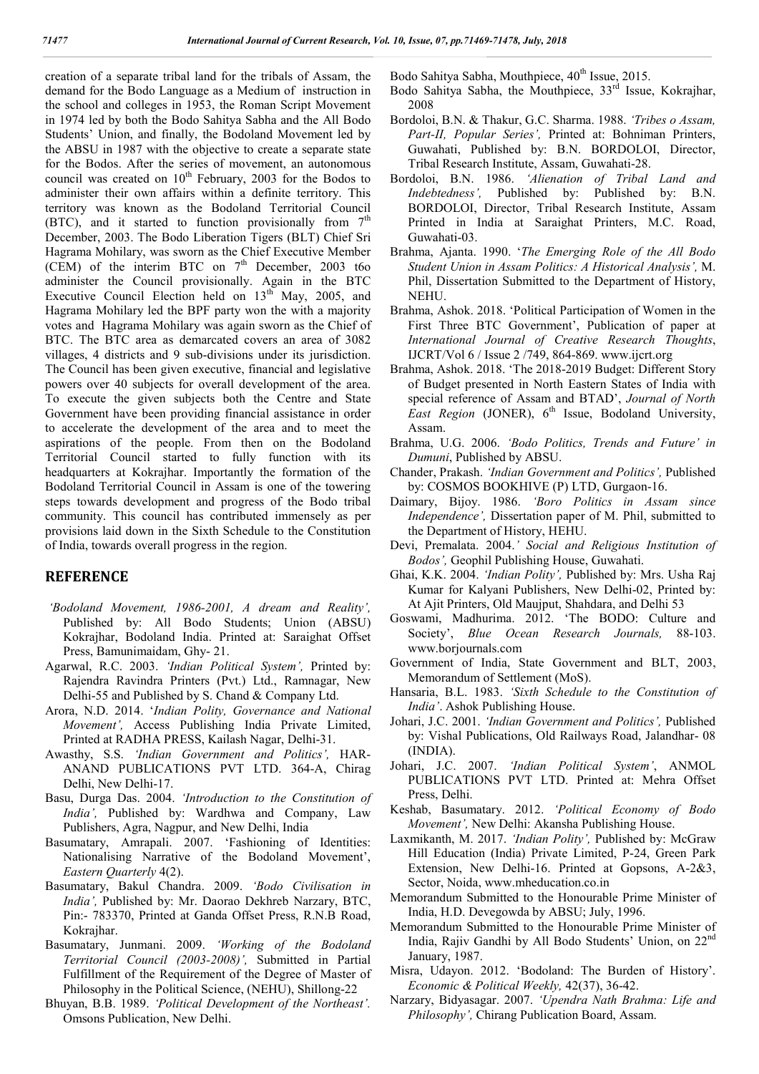creation of a separate tribal land for the tribals of Assam, the demand for the Bodo Language as a Medium of instruction in the school and colleges in 1953, the Roman Script Movement in 1974 led by both the Bodo Sahitya Sabha and the All Bodo Students' Union, and finally, the Bodoland Movement led by the ABSU in 1987 with the objective to create a separate state for the Bodos. After the series of movement, an autonomous council was created on  $10^{th}$  February, 2003 for the Bodos to administer their own affairs within a definite territory. This territory was known as the Bodoland Territorial Council (BTC), and it started to function provisionally from  $7<sup>th</sup>$ December, 2003. The Bodo Liberation Tigers (BLT) Chief Sri Hagrama Mohilary, was sworn as the Chief Executive Member (CEM) of the interim BTC on  $7<sup>th</sup>$  December, 2003 t6o administer the Council provisionally. Again in the BTC Executive Council Election held on  $13<sup>th</sup>$  May, 2005, and Hagrama Mohilary led the BPF party won the with a majority votes and Hagrama Mohilary was again sworn as the Chief of BTC. The BTC area as demarcated covers an area of 3082 villages, 4 districts and 9 sub-divisions under its jurisdiction. The Council has been given executive, financial and legislative powers over 40 subjects for overall development of the area. To execute the given subjects both the Centre and State Government have been providing financial assistance in order to accelerate the development of the area and to meet the aspirations of the people. From then on the Bodoland Territorial Council started to fully function with its headquarters at Kokrajhar. Importantly the formation of the Bodoland Territorial Council in Assam is one of the towering steps towards development and progress of the Bodo tribal community. This council has contributed immensely as per provisions laid down in the Sixth Schedule to the Constitution of India, towards overall progress in the region.

## **REFERENCE**

- *'Bodoland Movement, 1986-2001, A dream and Reality',* Published by: All Bodo Students; Union (ABSU) Kokrajhar, Bodoland India. Printed at: Saraighat Offset Press, Bamunimaidam, Ghy- 21.
- Agarwal, R.C. 2003. *'Indian Political System',* Printed by: Rajendra Ravindra Printers (Pvt.) Ltd., Ramnagar, New Delhi-55 and Published by S. Chand & Company Ltd.
- Arora, N.D. 2014. '*Indian Polity, Governance and National Movement',* Access Publishing India Private Limited, Printed at RADHA PRESS, Kailash Nagar, Delhi-31.
- Awasthy, S.S. *'Indian Government and Politics',* HAR-ANAND PUBLICATIONS PVT LTD. 364-A, Chirag Delhi, New Delhi-17.
- Basu, Durga Das. 2004. *'Introduction to the Constitution of India',* Published by: Wardhwa and Company, Law Publishers, Agra, Nagpur, and New Delhi, India
- Basumatary, Amrapali. 2007. 'Fashioning of Identities: Nationalising Narrative of the Bodoland Movement', *Eastern Quarterly* 4(2).
- Basumatary, Bakul Chandra. 2009. *'Bodo Civilisation in India',* Published by: Mr. Daorao Dekhreb Narzary, BTC, Pin:- 783370, Printed at Ganda Offset Press, R.N.B Road, Kokrajhar.
- Basumatary, Junmani. 2009. *'Working of the Bodoland Territorial Council (2003-2008)',* Submitted in Partial Fulfillment of the Requirement of the Degree of Master of Philosophy in the Political Science, (NEHU), Shillong-22
- Bhuyan, B.B. 1989. *'Political Development of the Northeast'.*  Omsons Publication, New Delhi.

Bodo Sahitya Sabha, Mouthpiece,  $40^{th}$  Issue, 2015.

- Bodo Sahitya Sabha, the Mouthpiece, 33rd Issue, Kokrajhar, 2008
- Bordoloi, B.N. & Thakur, G.C. Sharma. 1988. *'Tribes o Assam, Part-II, Popular Series',* Printed at: Bohniman Printers, Guwahati, Published by: B.N. BORDOLOI, Director, Tribal Research Institute, Assam, Guwahati-28.
- Bordoloi, B.N. 1986. *'Alienation of Tribal Land and Indebtedness'*, Published by: Published by: B.N. BORDOLOI, Director, Tribal Research Institute, Assam Printed in India at Saraighat Printers, M.C. Road, Guwahati-03.
- Brahma, Ajanta. 1990. '*The Emerging Role of the All Bodo Student Union in Assam Politics: A Historical Analysis',* M. Phil, Dissertation Submitted to the Department of History, NEHU.
- Brahma, Ashok. 2018. 'Political Participation of Women in the First Three BTC Government', Publication of paper at *International Journal of Creative Research Thoughts*, IJCRT/Vol 6 / Issue 2 /749, 864-869. www.ijcrt.org
- Brahma, Ashok. 2018. 'The 2018-2019 Budget: Different Story of Budget presented in North Eastern States of India with special reference of Assam and BTAD', *Journal of North East Region (JONER)*, 6<sup>th</sup> Issue, Bodoland University, Assam.
- Brahma, U.G. 2006. *'Bodo Politics, Trends and Future' in Dumuni*, Published by ABSU.
- Chander, Prakash. *'Indian Government and Politics',* Published by: COSMOS BOOKHIVE (P) LTD, Gurgaon-16.
- Daimary, Bijoy. 1986. *'Boro Politics in Assam since Independence',* Dissertation paper of M. Phil, submitted to the Department of History, HEHU.
- Devi, Premalata. 2004.*' Social and Religious Institution of Bodos',* Geophil Publishing House, Guwahati.
- Ghai, K.K. 2004. *'Indian Polity',* Published by: Mrs. Usha Raj Kumar for Kalyani Publishers, New Delhi-02, Printed by: At Ajit Printers, Old Maujput, Shahdara, and Delhi 53
- Goswami, Madhurima. 2012. 'The BODO: Culture and Society', *Blue Ocean Research Journals,* 88-103. www.borjournals.com
- Government of India, State Government and BLT, 2003, Memorandum of Settlement (MoS).
- Hansaria, B.L. 1983. *'Sixth Schedule to the Constitution of India'*. Ashok Publishing House.
- Johari, J.C. 2001. *'Indian Government and Politics',* Published by: Vishal Publications, Old Railways Road, Jalandhar- 08 (INDIA).
- Johari, J.C. 2007. *'Indian Political System'*, ANMOL PUBLICATIONS PVT LTD. Printed at: Mehra Offset Press, Delhi.
- Keshab, Basumatary. 2012. *'Political Economy of Bodo Movement',* New Delhi: Akansha Publishing House.
- Laxmikanth, M. 2017. *'Indian Polity',* Published by: McGraw Hill Education (India) Private Limited, P-24, Green Park Extension, New Delhi-16. Printed at Gopsons, A-2&3, Sector, Noida, www.mheducation.co.in
- Memorandum Submitted to the Honourable Prime Minister of India, H.D. Devegowda by ABSU; July, 1996.
- Memorandum Submitted to the Honourable Prime Minister of India, Rajiv Gandhi by All Bodo Students' Union, on 22nd January, 1987.
- Misra, Udayon. 2012. 'Bodoland: The Burden of History'. *Economic & Political Weekly,* 42(37), 36-42.
- Narzary, Bidyasagar. 2007. *'Upendra Nath Brahma: Life and Philosophy',* Chirang Publication Board, Assam.